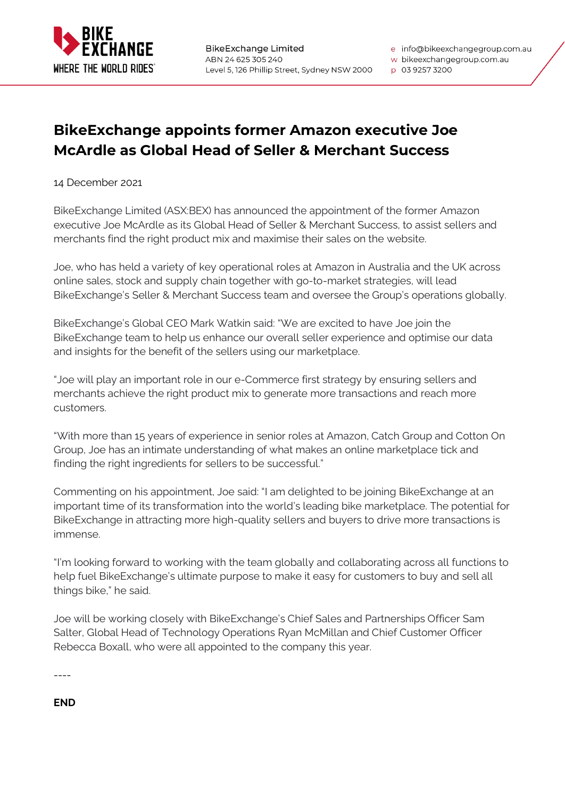

e info@bikeexchangegroup.com.au

w bikeexchangegroup.com.au

## p 03 9257 3200

## **BikeExchange appoints former Amazon executive Joe McArdle as Global Head of Seller & Merchant Success**

14 December 2021

BikeExchange Limited (ASX:BEX) has announced the appointment of the former Amazon executive Joe McArdle as its Global Head of Seller & Merchant Success, to assist sellers and merchants find the right product mix and maximise their sales on the website.

Joe, who has held a variety of key operational roles at Amazon in Australia and the UK across online sales, stock and supply chain together with go-to-market strategies, will lead BikeExchange's Seller & Merchant Success team and oversee the Group's operations globally.

BikeExchange's Global CEO Mark Watkin said: "We are excited to have Joe join the BikeExchange team to help us enhance our overall seller experience and optimise our data and insights for the benefit of the sellers using our marketplace.

"Joe will play an important role in our e-Commerce first strategy by ensuring sellers and merchants achieve the right product mix to generate more transactions and reach more customers.

"With more than 15 years of experience in senior roles at Amazon, Catch Group and Cotton On Group, Joe has an intimate understanding of what makes an online marketplace tick and finding the right ingredients for sellers to be successful."

Commenting on his appointment, Joe said: "I am delighted to be joining BikeExchange at an important time of its transformation into the world's leading bike marketplace. The potential for BikeExchange in attracting more high-quality sellers and buyers to drive more transactions is immense.

"I'm looking forward to working with the team globally and collaborating across all functions to help fuel BikeExchange's ultimate purpose to make it easy for customers to buy and sell all things bike," he said.

Joe will be working closely with BikeExchange's Chief Sales and Partnerships Officer Sam Salter, Global Head of Technology Operations Ryan McMillan and Chief Customer Officer Rebecca Boxall, who were all appointed to the company this year.

----

**END**